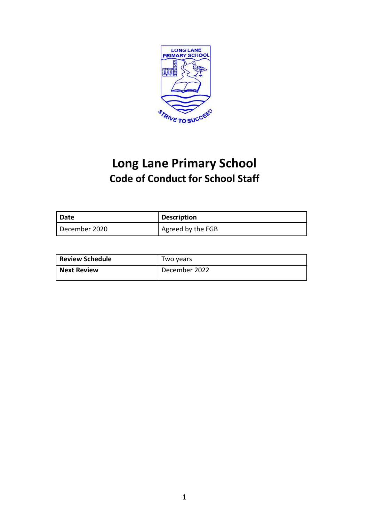

# **Long Lane Primary School Code of Conduct for School Staff**

| Date            | <b>Description</b> |
|-----------------|--------------------|
| l December 2020 | Agreed by the FGB  |

| <b>Review Schedule</b> | Two vears     |
|------------------------|---------------|
| <b>Next Review</b>     | December 2022 |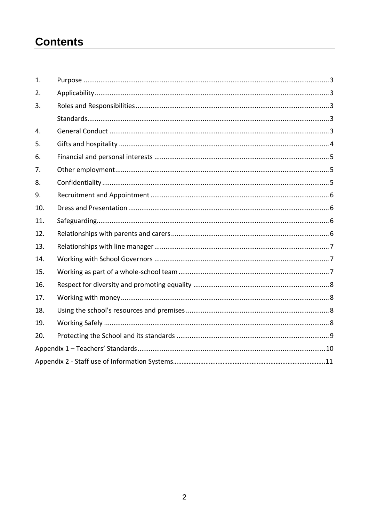# **Contents**

| 1.  |  |
|-----|--|
| 2.  |  |
| 3.  |  |
|     |  |
| 4.  |  |
| 5.  |  |
| 6.  |  |
| 7.  |  |
| 8.  |  |
| 9.  |  |
| 10. |  |
| 11. |  |
| 12. |  |
| 13. |  |
| 14. |  |
| 15. |  |
| 16. |  |
| 17. |  |
| 18. |  |
| 19. |  |
| 20. |  |
|     |  |
|     |  |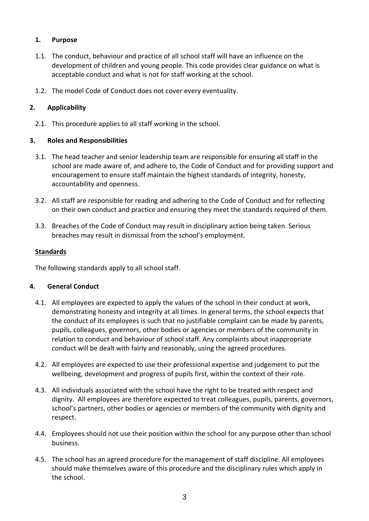# **1. Purpose**

- 1.1. The conduct, behaviour and practice of all school staff will have an influence on the development of children and young people. This code provides clear guidance on what is acceptable conduct and what is not for staff working at the school.
- 1.2. The model Code of Conduct does not cover every eventuality.

# **2. Applicability**

2.1. This procedure applies to all staff working in the school.

# **3. Roles and Responsibilities**

- 3.1. The head teacher and senior leadership team are responsible for ensuring all staff in the school are made aware of, and adhere to, the Code of Conduct and for providing support and encouragement to ensure staff maintain the highest standards of integrity, honesty, accountability and openness.
- 3.2. All staff are responsible for reading and adhering to the Code of Conduct and for reflecting on their own conduct and practice and ensuring they meet the standards required of them.
- 3.3. Breaches of the Code of Conduct may result in disciplinary action being taken. Serious breaches may result in dismissal from the school's employment.

# **Standards**

The following standards apply to all school staff.

### **4. General Conduct**

- 4.1. All employees are expected to apply the values of the school in their conduct at work, demonstrating honesty and integrity at all times. In general terms, the school expects that the conduct of its employees is such that no justifiable complaint can be made by parents, pupils, colleagues, governors, other bodies or agencies or members of the community in relation to conduct and behaviour of school staff. Any complaints about inappropriate conduct will be dealt with fairly and reasonably, using the agreed procedures.
- 4.2. All employees are expected to use their professional expertise and judgement to put the wellbeing, development and progress of pupils first, within the context of their role.
- 4.3. All individuals associated with the school have the right to be treated with respect and dignity. All employees are therefore expected to treat colleagues, pupils, parents, governors, school's partners, other bodies or agencies or members of the community with dignity and respect.
- 4.4. Employees should not use their position within the school for any purpose other than school business.
- 4.5. The school has an agreed procedure for the management of staff discipline. All employees should make themselves aware of this procedure and the disciplinary rules which apply in the school.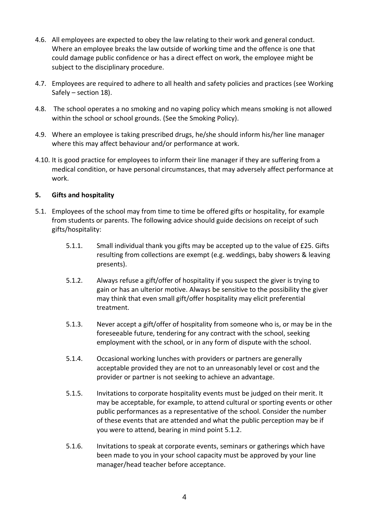- 4.6. All employees are expected to obey the law relating to their work and general conduct. Where an employee breaks the law outside of working time and the offence is one that could damage public confidence or has a direct effect on work, the employee might be subject to the disciplinary procedure.
- 4.7. Employees are required to adhere to all health and safety policies and practices (see Working Safely – section 18).
- 4.8. The school operates a no smoking and no vaping policy which means smoking is not allowed within the school or school grounds. (See the Smoking Policy).
- 4.9. Where an employee is taking prescribed drugs, he/she should inform his/her line manager where this may affect behaviour and/or performance at work.
- 4.10. It is good practice for employees to inform their line manager if they are suffering from a medical condition, or have personal circumstances, that may adversely affect performance at work.

#### **5. Gifts and hospitality**

- 5.1. Employees of the school may from time to time be offered gifts or hospitality, for example from students or parents. The following advice should guide decisions on receipt of such gifts/hospitality:
	- 5.1.1. Small individual thank you gifts may be accepted up to the value of £25. Gifts resulting from collections are exempt (e.g. weddings, baby showers & leaving presents).
	- 5.1.2. Always refuse a gift/offer of hospitality if you suspect the giver is trying to gain or has an ulterior motive. Always be sensitive to the possibility the giver may think that even small gift/offer hospitality may elicit preferential treatment.
	- 5.1.3. Never accept a gift/offer of hospitality from someone who is, or may be in the foreseeable future, tendering for any contract with the school, seeking employment with the school, or in any form of dispute with the school.
	- 5.1.4. Occasional working lunches with providers or partners are generally acceptable provided they are not to an unreasonably level or cost and the provider or partner is not seeking to achieve an advantage.
	- 5.1.5. Invitations to corporate hospitality events must be judged on their merit. It may be acceptable, for example, to attend cultural or sporting events or other public performances as a representative of the school. Consider the number of these events that are attended and what the public perception may be if you were to attend, bearing in mind point 5.1.2.
	- 5.1.6. Invitations to speak at corporate events, seminars or gatherings which have been made to you in your school capacity must be approved by your line manager/head teacher before acceptance.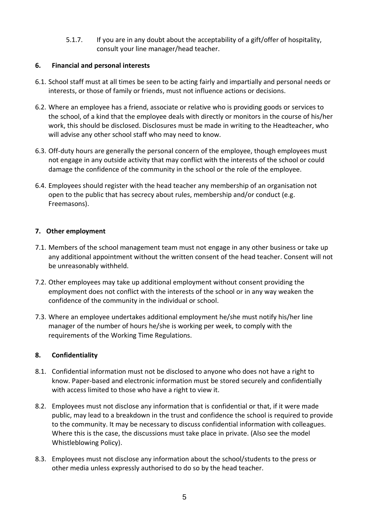5.1.7. If you are in any doubt about the acceptability of a gift/offer of hospitality, consult your line manager/head teacher.

# **6. Financial and personal interests**

- 6.1. School staff must at all times be seen to be acting fairly and impartially and personal needs or interests, or those of family or friends, must not influence actions or decisions.
- 6.2. Where an employee has a friend, associate or relative who is providing goods or services to the school, of a kind that the employee deals with directly or monitors in the course of his/her work, this should be disclosed. Disclosures must be made in writing to the Headteacher, who will advise any other school staff who may need to know.
- 6.3. Off-duty hours are generally the personal concern of the employee, though employees must not engage in any outside activity that may conflict with the interests of the school or could damage the confidence of the community in the school or the role of the employee.
- 6.4. Employees should register with the head teacher any membership of an organisation not open to the public that has secrecy about rules, membership and/or conduct (e.g. Freemasons).

# **7. Other employment**

- 7.1. Members of the school management team must not engage in any other business or take up any additional appointment without the written consent of the head teacher. Consent will not be unreasonably withheld.
- 7.2. Other employees may take up additional employment without consent providing the employment does not conflict with the interests of the school or in any way weaken the confidence of the community in the individual or school.
- 7.3. Where an employee undertakes additional employment he/she must notify his/her line manager of the number of hours he/she is working per week, to comply with the requirements of the Working Time Regulations.

### **8. Confidentiality**

- 8.1. Confidential information must not be disclosed to anyone who does not have a right to know. Paper-based and electronic information must be stored securely and confidentially with access limited to those who have a right to view it.
- 8.2. Employees must not disclose any information that is confidential or that, if it were made public, may lead to a breakdown in the trust and confidence the school is required to provide to the community. It may be necessary to discuss confidential information with colleagues. Where this is the case, the discussions must take place in private. (Also see the model Whistleblowing Policy).
- 8.3. Employees must not disclose any information about the school/students to the press or other media unless expressly authorised to do so by the head teacher.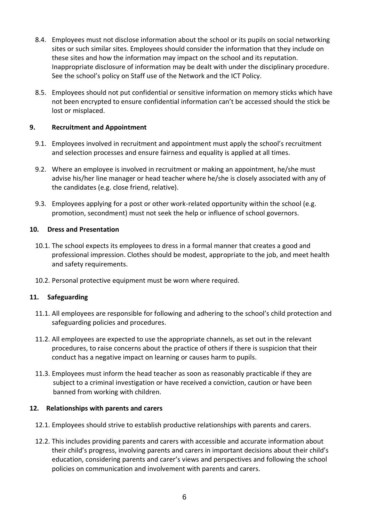- 8.4. Employees must not disclose information about the school or its pupils on social networking sites or such similar sites. Employees should consider the information that they include on these sites and how the information may impact on the school and its reputation. Inappropriate disclosure of information may be dealt with under the disciplinary procedure. See the school's policy on Staff use of the Network and the ICT Policy.
- 8.5. Employees should not put confidential or sensitive information on memory sticks which have not been encrypted to ensure confidential information can't be accessed should the stick be lost or misplaced.

#### **9. Recruitment and Appointment**

- 9.1. Employees involved in recruitment and appointment must apply the school's recruitment and selection processes and ensure fairness and equality is applied at all times.
- 9.2. Where an employee is involved in recruitment or making an appointment, he/she must advise his/her line manager or head teacher where he/she is closely associated with any of the candidates (e.g. close friend, relative).
- 9.3. Employees applying for a post or other work-related opportunity within the school (e.g. promotion, secondment) must not seek the help or influence of school governors.

#### **10. Dress and Presentation**

- 10.1. The school expects its employees to dress in a formal manner that creates a good and professional impression. Clothes should be modest, appropriate to the job, and meet health and safety requirements.
- 10.2. Personal protective equipment must be worn where required.

### **11. Safeguarding**

- 11.1. All employees are responsible for following and adhering to the school's child protection and safeguarding policies and procedures.
- 11.2. All employees are expected to use the appropriate channels, as set out in the relevant procedures, to raise concerns about the practice of others if there is suspicion that their conduct has a negative impact on learning or causes harm to pupils.
- 11.3. Employees must inform the head teacher as soon as reasonably practicable if they are subject to a criminal investigation or have received a conviction, caution or have been banned from working with children.

#### **12. Relationships with parents and carers**

- 12.1. Employees should strive to establish productive relationships with parents and carers.
- 12.2. This includes providing parents and carers with accessible and accurate information about their child's progress, involving parents and carers in important decisions about their child's education, considering parents and carer's views and perspectives and following the school policies on communication and involvement with parents and carers.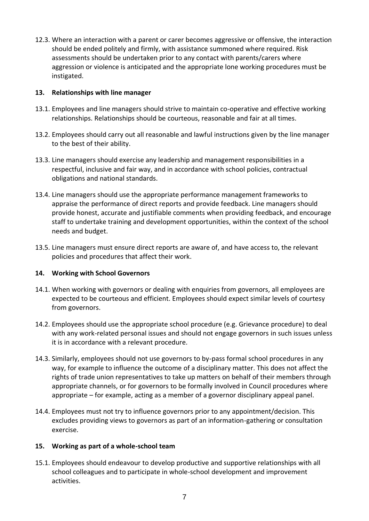12.3. Where an interaction with a parent or carer becomes aggressive or offensive, the interaction should be ended politely and firmly, with assistance summoned where required. Risk assessments should be undertaken prior to any contact with parents/carers where aggression or violence is anticipated and the appropriate lone working procedures must be instigated.

#### **13. Relationships with line manager**

- 13.1. Employees and line managers should strive to maintain co-operative and effective working relationships. Relationships should be courteous, reasonable and fair at all times.
- 13.2. Employees should carry out all reasonable and lawful instructions given by the line manager to the best of their ability.
- 13.3. Line managers should exercise any leadership and management responsibilities in a respectful, inclusive and fair way, and in accordance with school policies, contractual obligations and national standards.
- 13.4. Line managers should use the appropriate performance management frameworks to appraise the performance of direct reports and provide feedback. Line managers should provide honest, accurate and justifiable comments when providing feedback, and encourage staff to undertake training and development opportunities, within the context of the school needs and budget.
- 13.5. Line managers must ensure direct reports are aware of, and have access to, the relevant policies and procedures that affect their work.

#### **14. Working with School Governors**

- 14.1. When working with governors or dealing with enquiries from governors, all employees are expected to be courteous and efficient. Employees should expect similar levels of courtesy from governors.
- 14.2. Employees should use the appropriate school procedure (e.g. Grievance procedure) to deal with any work-related personal issues and should not engage governors in such issues unless it is in accordance with a relevant procedure.
- 14.3. Similarly, employees should not use governors to by-pass formal school procedures in any way, for example to influence the outcome of a disciplinary matter. This does not affect the rights of trade union representatives to take up matters on behalf of their members through appropriate channels, or for governors to be formally involved in Council procedures where appropriate – for example, acting as a member of a governor disciplinary appeal panel.
- 14.4. Employees must not try to influence governors prior to any appointment/decision. This excludes providing views to governors as part of an information-gathering or consultation exercise.

#### **15. Working as part of a whole-school team**

15.1. Employees should endeavour to develop productive and supportive relationships with all school colleagues and to participate in whole-school development and improvement activities.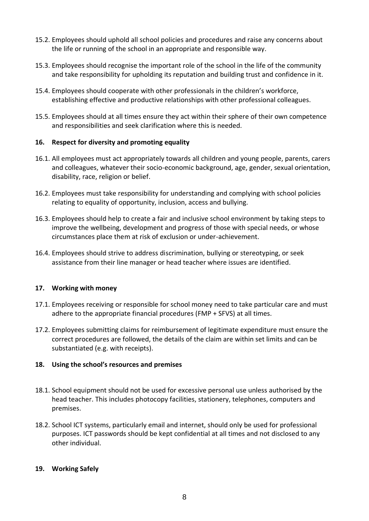- 15.2. Employees should uphold all school policies and procedures and raise any concerns about the life or running of the school in an appropriate and responsible way.
- 15.3. Employees should recognise the important role of the school in the life of the community and take responsibility for upholding its reputation and building trust and confidence in it.
- 15.4. Employees should cooperate with other professionals in the children's workforce, establishing effective and productive relationships with other professional colleagues.
- 15.5. Employees should at all times ensure they act within their sphere of their own competence and responsibilities and seek clarification where this is needed.

### **16. Respect for diversity and promoting equality**

- 16.1. All employees must act appropriately towards all children and young people, parents, carers and colleagues, whatever their socio-economic background, age, gender, sexual orientation, disability, race, religion or belief.
- 16.2. Employees must take responsibility for understanding and complying with school policies relating to equality of opportunity, inclusion, access and bullying.
- 16.3. Employees should help to create a fair and inclusive school environment by taking steps to improve the wellbeing, development and progress of those with special needs, or whose circumstances place them at risk of exclusion or under-achievement.
- 16.4. Employees should strive to address discrimination, bullying or stereotyping, or seek assistance from their line manager or head teacher where issues are identified.

#### **17. Working with money**

- 17.1. Employees receiving or responsible for school money need to take particular care and must adhere to the appropriate financial procedures (FMP + SFVS) at all times.
- 17.2. Employees submitting claims for reimbursement of legitimate expenditure must ensure the correct procedures are followed, the details of the claim are within set limits and can be substantiated (e.g. with receipts).

### **18. Using the school's resources and premises**

- 18.1. School equipment should not be used for excessive personal use unless authorised by the head teacher. This includes photocopy facilities, stationery, telephones, computers and premises.
- 18.2. School ICT systems, particularly email and internet, should only be used for professional purposes. ICT passwords should be kept confidential at all times and not disclosed to any other individual.

#### **19. Working Safely**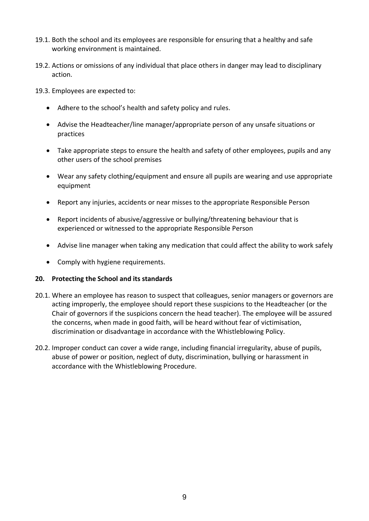- 19.1. Both the school and its employees are responsible for ensuring that a healthy and safe working environment is maintained.
- 19.2. Actions or omissions of any individual that place others in danger may lead to disciplinary action.
- 19.3. Employees are expected to:
	- Adhere to the school's health and safety policy and rules.
	- Advise the Headteacher/line manager/appropriate person of any unsafe situations or practices
	- Take appropriate steps to ensure the health and safety of other employees, pupils and any other users of the school premises
	- Wear any safety clothing/equipment and ensure all pupils are wearing and use appropriate equipment
	- Report any injuries, accidents or near misses to the appropriate Responsible Person
	- Report incidents of abusive/aggressive or bullying/threatening behaviour that is experienced or witnessed to the appropriate Responsible Person
	- Advise line manager when taking any medication that could affect the ability to work safely
	- Comply with hygiene requirements.

#### **20. Protecting the School and its standards**

- 20.1. Where an employee has reason to suspect that colleagues, senior managers or governors are acting improperly, the employee should report these suspicions to the Headteacher (or the Chair of governors if the suspicions concern the head teacher). The employee will be assured the concerns, when made in good faith, will be heard without fear of victimisation, discrimination or disadvantage in accordance with the Whistleblowing Policy.
- 20.2. Improper conduct can cover a wide range, including financial irregularity, abuse of pupils, abuse of power or position, neglect of duty, discrimination, bullying or harassment in accordance with the Whistleblowing Procedure.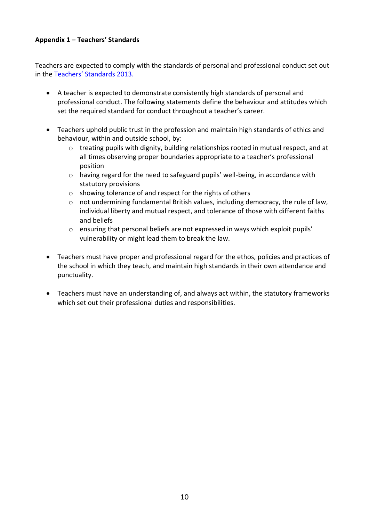### **Appendix 1 – Teachers' Standards**

Teachers are expected to comply with the standards of personal and professional conduct set out in the Teachers' [Standards 2013.](https://assets.publishing.service.gov.uk/government/uploads/system/uploads/attachment_data/file/665520/Teachers__Standards.pdf)

- A teacher is expected to demonstrate consistently high standards of personal and professional conduct. The following statements define the behaviour and attitudes which set the required standard for conduct throughout a teacher's career.
- Teachers uphold public trust in the profession and maintain high standards of ethics and behaviour, within and outside school, by:
	- $\circ$  treating pupils with dignity, building relationships rooted in mutual respect, and at all times observing proper boundaries appropriate to a teacher's professional position
	- o having regard for the need to safeguard pupils' well-being, in accordance with statutory provisions
	- o showing tolerance of and respect for the rights of others
	- o not undermining fundamental British values, including democracy, the rule of law, individual liberty and mutual respect, and tolerance of those with different faiths and beliefs
	- $\circ$  ensuring that personal beliefs are not expressed in ways which exploit pupils' vulnerability or might lead them to break the law.
- Teachers must have proper and professional regard for the ethos, policies and practices of the school in which they teach, and maintain high standards in their own attendance and punctuality.
- Teachers must have an understanding of, and always act within, the statutory frameworks which set out their professional duties and responsibilities.